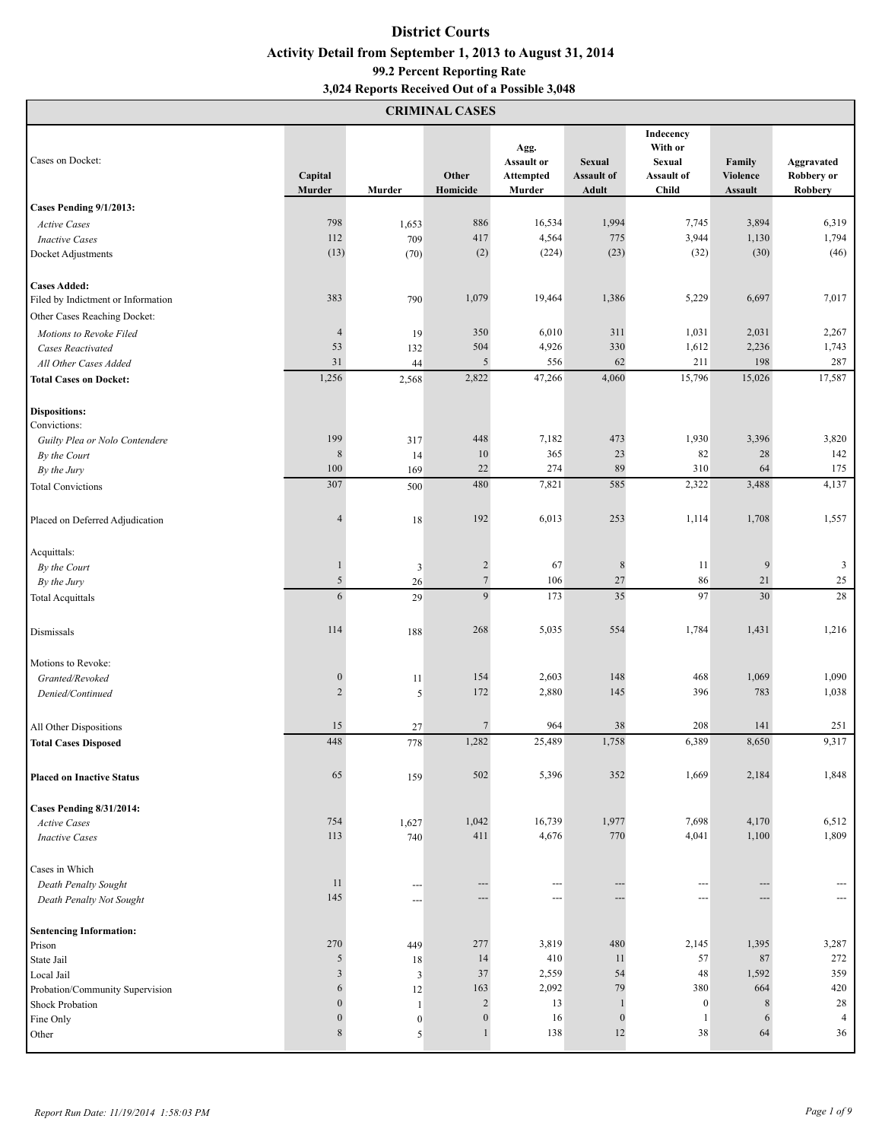| <b>CRIMINAL CASES</b> |
|-----------------------|
|-----------------------|

|                                    |                       |                          | CIMININ'VID CHODD |                                                         |                                             |                                                                     |                                             |                                            |
|------------------------------------|-----------------------|--------------------------|-------------------|---------------------------------------------------------|---------------------------------------------|---------------------------------------------------------------------|---------------------------------------------|--------------------------------------------|
| Cases on Docket:                   | Capital<br>Murder     | Murder                   | Other<br>Homicide | Agg.<br><b>Assault or</b><br><b>Attempted</b><br>Murder | <b>Sexual</b><br><b>Assault of</b><br>Adult | Indecency<br>With or<br><b>Sexual</b><br>Assault of<br><b>Child</b> | Family<br><b>Violence</b><br><b>Assault</b> | Aggravated<br><b>Robbery</b> or<br>Robbery |
| Cases Pending 9/1/2013:            |                       |                          |                   |                                                         |                                             |                                                                     |                                             |                                            |
| <b>Active Cases</b>                | 798                   | 1,653                    | 886               | 16,534                                                  | 1,994                                       | 7,745                                                               | 3,894                                       | 6,319                                      |
| <b>Inactive Cases</b>              | 112                   | 709                      | 417               | 4,564                                                   | 775                                         | 3,944                                                               | 1,130                                       | 1,794                                      |
| Docket Adjustments                 | (13)                  | (70)                     | (2)               | (224)                                                   | (23)                                        | (32)                                                                | (30)                                        | (46)                                       |
| <b>Cases Added:</b>                |                       |                          |                   |                                                         |                                             |                                                                     |                                             |                                            |
| Filed by Indictment or Information | 383                   | 790                      | 1,079             | 19,464                                                  | 1,386                                       | 5,229                                                               | 6,697                                       | 7,017                                      |
| Other Cases Reaching Docket:       |                       |                          |                   |                                                         |                                             |                                                                     |                                             |                                            |
| Motions to Revoke Filed            | $\overline{4}$        | 19                       | 350               | 6,010                                                   | 311                                         | 1,031                                                               | 2,031                                       | 2,267                                      |
| <b>Cases Reactivated</b>           | 53                    | 132                      | 504               | 4,926                                                   | 330                                         | 1,612                                                               | 2,236                                       | 1,743                                      |
| All Other Cases Added              | 31                    | 44                       | $\sqrt{5}$        | 556                                                     | 62                                          | 211                                                                 | 198                                         | 287                                        |
| <b>Total Cases on Docket:</b>      | 1,256                 | 2,568                    | 2,822             | 47,266                                                  | 4,060                                       | 15,796                                                              | 15,026                                      | 17,587                                     |
| <b>Dispositions:</b>               |                       |                          |                   |                                                         |                                             |                                                                     |                                             |                                            |
| Convictions:                       |                       |                          |                   |                                                         |                                             |                                                                     |                                             |                                            |
| Guilty Plea or Nolo Contendere     | 199                   | 317                      | 448               | 7,182                                                   | 473                                         | 1,930                                                               | 3,396                                       | 3,820                                      |
| By the Court                       | $\,8\,$               | 14                       | 10                | 365                                                     | 23                                          | 82                                                                  | 28                                          | 142                                        |
| By the Jury                        | 100                   | 169                      | 22                | 274                                                     | 89                                          | 310                                                                 | 64                                          | 175                                        |
| <b>Total Convictions</b>           | 307                   | 500                      | 480               | 7,821                                                   | 585                                         | 2,322                                                               | 3,488                                       | 4,137                                      |
| Placed on Deferred Adjudication    | $\overline{4}$        | 18                       | 192               | 6,013                                                   | 253                                         | 1,114                                                               | 1,708                                       | 1,557                                      |
| Acquittals:                        |                       |                          |                   |                                                         |                                             |                                                                     |                                             |                                            |
| By the Court                       | $\mathbf{1}$          | 3                        | $\overline{c}$    | 67                                                      | 8                                           | 11                                                                  | 9                                           | 3                                          |
| By the Jury                        | 5                     | 26                       | $\overline{7}$    | 106                                                     | 27                                          | 86                                                                  | $21\,$                                      | 25                                         |
| <b>Total Acquittals</b>            | $\sqrt{6}$            | 29                       | 9                 | 173                                                     | 35                                          | 97                                                                  | 30                                          | 28                                         |
| Dismissals                         | 114                   | 188                      | 268               | 5,035                                                   | 554                                         | 1,784                                                               | 1,431                                       | 1,216                                      |
| Motions to Revoke:                 |                       |                          |                   |                                                         |                                             |                                                                     |                                             |                                            |
|                                    | $\boldsymbol{0}$      |                          | 154               | 2,603                                                   | 148                                         | 468                                                                 | 1,069                                       | 1,090                                      |
| Granted/Revoked                    | $\overline{2}$        | 11                       | 172               | 2,880                                                   | 145                                         | 396                                                                 | 783                                         | 1,038                                      |
| Denied/Continued                   |                       | 5                        |                   |                                                         |                                             |                                                                     |                                             |                                            |
| All Other Dispositions             | 15                    | 27                       | $\overline{7}$    | 964                                                     | 38                                          | 208                                                                 | 141                                         | 251                                        |
| <b>Total Cases Disposed</b>        | 448                   | 778                      | 1,282             | 25,489                                                  | 1,758                                       | 6,389                                                               | 8,650                                       | 9,317                                      |
| <b>Placed on Inactive Status</b>   | 65                    | 159                      | 502               | 5,396                                                   | 352                                         | 1,669                                                               | 2,184                                       | 1,848                                      |
| <b>Cases Pending 8/31/2014:</b>    |                       |                          |                   |                                                         |                                             |                                                                     |                                             |                                            |
| <b>Active Cases</b>                | 754                   | 1,627                    | 1,042             | 16,739                                                  | 1,977                                       | 7,698                                                               | 4,170                                       | 6,512                                      |
| <b>Inactive Cases</b>              | 113                   | 740                      | 411               | 4,676                                                   | 770                                         | 4,041                                                               | 1,100                                       | 1,809                                      |
| Cases in Which                     |                       |                          |                   |                                                         |                                             |                                                                     |                                             |                                            |
| Death Penalty Sought               | 11                    | $\overline{\phantom{a}}$ |                   | $\overline{a}$                                          |                                             | $\overline{a}$                                                      |                                             |                                            |
| Death Penalty Not Sought           | 145                   | ---                      | $---$             | $\sim$                                                  | $---$                                       | $\overline{a}$                                                      | $---$                                       | $---$                                      |
| <b>Sentencing Information:</b>     | 270                   |                          |                   |                                                         |                                             |                                                                     |                                             |                                            |
| Prison                             |                       | 449                      | 277               | 3,819                                                   | 480                                         | 2,145                                                               | 1,395                                       | 3,287<br>272                               |
| State Jail                         | 5                     | 18                       | 14                | 410<br>2,559                                            | 11                                          | 57                                                                  | 87                                          | 359                                        |
| Local Jail                         | 3                     | 3                        | 37<br>163         | 2,092                                                   | 54<br>79                                    | 48<br>380                                                           | 1,592                                       | 420                                        |
| Probation/Community Supervision    | 6<br>$\boldsymbol{0}$ | 12                       |                   |                                                         | 1                                           |                                                                     | 664                                         | 28                                         |
| <b>Shock Probation</b>             |                       | $\mathbf{1}$             | $\overline{c}$    | 13                                                      | $\mathbf{0}$                                | $\boldsymbol{0}$<br>1                                               | $\,$ 8 $\,$                                 | $\overline{4}$                             |
| Fine Only                          | $\boldsymbol{0}$      | $\boldsymbol{0}$         | $\boldsymbol{0}$  | 16                                                      |                                             |                                                                     | 6                                           |                                            |
| Other                              | $\,8$                 | 5                        |                   | 138                                                     | 12                                          | 38                                                                  | 64                                          | 36                                         |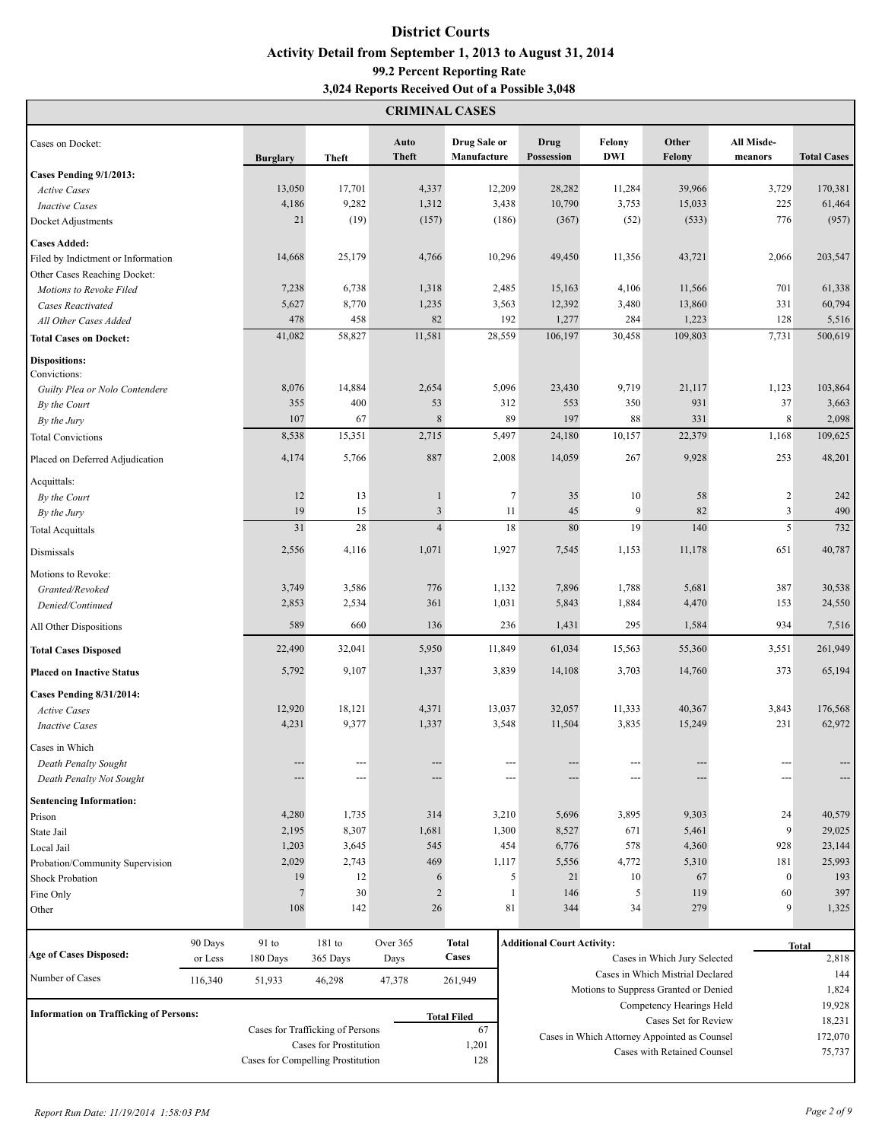|                                                                        | <b>CRIMINAL CASES</b> |                                   |                                  |                      |                             |                |                                   |                              |                                              |                       |                    |  |  |  |
|------------------------------------------------------------------------|-----------------------|-----------------------------------|----------------------------------|----------------------|-----------------------------|----------------|-----------------------------------|------------------------------|----------------------------------------------|-----------------------|--------------------|--|--|--|
| Cases on Docket:                                                       |                       | <b>Burglary</b>                   | <b>Theft</b>                     | Auto<br><b>Theft</b> | Drug Sale or<br>Manufacture |                | Drug<br>Possession                | Felony<br><b>DWI</b>         | Other<br>Felony                              | All Misde-<br>meanors | <b>Total Cases</b> |  |  |  |
| Cases Pending 9/1/2013:                                                |                       |                                   |                                  |                      |                             |                |                                   |                              |                                              |                       |                    |  |  |  |
| <b>Active Cases</b>                                                    |                       | 13,050                            | 17,701                           | 4,337                | 12,209                      |                | 28,282                            | 11,284                       | 39,966                                       | 3,729                 | 170,381            |  |  |  |
| <b>Inactive Cases</b>                                                  |                       | 4,186                             | 9,282                            | 1,312                |                             | 3,438          | 10,790                            | 3,753                        | 15,033                                       | 225                   | 61,464             |  |  |  |
| Docket Adjustments                                                     |                       | 21                                | (19)                             | (157)                |                             | (186)          | (367)                             | (52)                         | (533)                                        | 776                   | (957)              |  |  |  |
| <b>Cases Added:</b>                                                    |                       |                                   |                                  |                      |                             |                |                                   |                              |                                              |                       |                    |  |  |  |
| Filed by Indictment or Information                                     |                       | 14,668                            | 25,179                           | 4,766                | 10,296                      |                | 49,450                            | 11,356                       | 43,721                                       | 2,066                 | 203,547            |  |  |  |
| Other Cases Reaching Docket:                                           |                       |                                   |                                  |                      |                             |                |                                   |                              |                                              |                       |                    |  |  |  |
| Motions to Revoke Filed                                                |                       | 7,238                             | 6,738                            | 1,318                |                             | 2,485          | 15,163                            | 4,106                        | 11,566                                       | 701                   | 61,338             |  |  |  |
| <b>Cases Reactivated</b>                                               |                       | 5,627                             | 8,770                            | 1,235                |                             | 3,563          | 12,392                            | 3,480                        | 13,860                                       | 331                   | 60,794             |  |  |  |
| All Other Cases Added                                                  |                       | 478                               | 458                              | 82                   |                             | 192            | 1,277                             | 284                          | 1,223                                        | 128                   | 5,516              |  |  |  |
| <b>Total Cases on Docket:</b>                                          |                       | 41,082                            | 58,827                           | 11,581               | 28,559                      |                | 106,197                           | 30,458                       | 109,803                                      | 7,731                 | 500,619            |  |  |  |
| <b>Dispositions:</b><br>Convictions:<br>Guilty Plea or Nolo Contendere |                       | 8,076                             | 14,884                           | 2,654                |                             | 5,096          | 23,430                            | 9,719                        | 21,117                                       | 1,123                 | 103,864            |  |  |  |
| By the Court                                                           |                       | 355                               | 400                              | 53                   |                             | 312            | 553                               | 350                          | 931                                          | 37                    | 3,663              |  |  |  |
| By the Jury                                                            |                       | 107                               | 67                               | 8                    |                             | 89             | 197                               | 88                           | 331                                          | 8                     | 2,098              |  |  |  |
| <b>Total Convictions</b>                                               |                       | 8,538                             | 15,351                           | 2,715                |                             | 5,497          | 24,180                            | 10,157                       | 22,379                                       | 1,168                 | 109,625            |  |  |  |
| Placed on Deferred Adjudication                                        |                       | 4,174                             | 5,766                            | 887                  |                             | 2,008          | 14,059                            | 267                          | 9,928                                        | 253                   | 48,201             |  |  |  |
| Acquittals:                                                            |                       |                                   |                                  |                      |                             |                |                                   |                              |                                              |                       |                    |  |  |  |
| By the Court                                                           |                       | 12                                | 13                               | 1                    |                             | $\overline{7}$ | 35                                | 10                           | 58                                           | $\overline{2}$        | 242                |  |  |  |
| By the Jury                                                            |                       | 19                                | 15                               | 3                    |                             | 11             | 45                                | 9                            | 82                                           | $\mathfrak{Z}$        | 490                |  |  |  |
| <b>Total Acquittals</b>                                                |                       | 31                                | 28                               | $\overline{4}$       |                             | 18             | 80                                | 19                           | 140                                          | 5                     | 732                |  |  |  |
| Dismissals                                                             |                       | 2,556                             | 4,116                            | 1,071                |                             | 1,927          | 7,545                             | 1,153                        | 11,178                                       | 651                   | 40,787             |  |  |  |
| Motions to Revoke:                                                     |                       |                                   |                                  |                      |                             |                |                                   |                              |                                              |                       |                    |  |  |  |
| Granted/Revoked                                                        |                       | 3,749                             | 3,586                            | 776                  |                             | 1,132          | 7,896                             | 1,788                        | 5,681                                        | 387                   | 30,538             |  |  |  |
| Denied/Continued                                                       |                       | 2,853                             | 2,534                            | 361                  | 1,031                       |                | 5,843                             | 1,884                        | 4,470                                        | 153                   | 24,550             |  |  |  |
| All Other Dispositions                                                 |                       | 589                               | 660                              | 136                  |                             | 236            | 1,431                             | 295                          | 1,584                                        | 934                   | 7,516              |  |  |  |
| <b>Total Cases Disposed</b>                                            |                       | 22,490                            | 32,041                           | 5,950                | 11,849                      |                | 61,034                            | 15,563                       | 55,360                                       | 3,551                 | 261,949            |  |  |  |
| <b>Placed on Inactive Status</b>                                       |                       | 5,792                             | 9,107                            | 1,337                |                             | 3,839          | 14,108                            | 3,703                        | 14,760                                       | 373                   | 65,194             |  |  |  |
| <b>Cases Pending 8/31/2014:</b>                                        |                       |                                   |                                  |                      |                             |                |                                   |                              |                                              |                       |                    |  |  |  |
| <b>Active Cases</b>                                                    |                       | 12,920                            | 18,121                           | 4,371                | 13,037                      |                | 32,057                            | 11,333                       | 40,367                                       | 3,843                 | 176,568            |  |  |  |
| <b>Inactive Cases</b>                                                  |                       | 4,231                             | 9,377                            | 1,337                |                             | 3,548          | 11,504                            | 3,835                        | 15,249                                       | 231                   | 62,972             |  |  |  |
| Cases in Which                                                         |                       |                                   |                                  |                      |                             |                |                                   |                              |                                              |                       |                    |  |  |  |
|                                                                        |                       |                                   | ---                              |                      |                             |                |                                   |                              |                                              |                       |                    |  |  |  |
| Death Penalty Sought<br>Death Penalty Not Sought                       |                       |                                   | ---                              | ---                  |                             | ---            |                                   | ---                          | ---                                          |                       |                    |  |  |  |
|                                                                        |                       |                                   |                                  |                      |                             |                |                                   |                              |                                              |                       |                    |  |  |  |
| <b>Sentencing Information:</b>                                         |                       |                                   |                                  |                      |                             |                |                                   |                              |                                              |                       |                    |  |  |  |
| Prison                                                                 |                       | 4,280                             | 1,735                            | 314                  |                             | 3,210          | 5,696                             | 3,895                        | 9,303                                        | 24                    | 40,579             |  |  |  |
| State Jail                                                             |                       | 2,195                             | 8,307                            | 1,681                |                             | 1,300          | 8,527                             | 671                          | 5,461                                        | 9                     | 29,025             |  |  |  |
| Local Jail                                                             |                       | 1,203                             | 3,645                            | 545                  |                             | 454            | 6,776                             | 578                          | 4,360                                        | 928                   | 23,144             |  |  |  |
| Probation/Community Supervision                                        |                       | 2,029                             | 2,743                            | 469                  |                             | 1,117          | 5,556                             | 4,772                        | 5,310                                        | 181                   | 25,993             |  |  |  |
| Shock Probation                                                        |                       | 19                                | 12                               | 6                    |                             | 5<br>1         | 21                                | 10                           | 67                                           | $\bf{0}$              | 193<br>397         |  |  |  |
| Fine Only                                                              |                       | 108                               | 30<br>142                        | $\overline{c}$<br>26 |                             | 81             | 146<br>344                        | 5<br>34                      | 119<br>279                                   | 60<br>9               | 1,325              |  |  |  |
| Other                                                                  |                       |                                   |                                  |                      |                             |                |                                   |                              |                                              |                       |                    |  |  |  |
|                                                                        | 90 Days<br>or Less    | 91 to                             | 181 to                           | Over 365             | <b>Total</b>                |                | <b>Additional Court Activity:</b> |                              |                                              |                       | <b>Total</b>       |  |  |  |
| <b>Age of Cases Disposed:</b>                                          | 180 Days              | 365 Days                          | Days                             | <b>Cases</b>         |                             |                |                                   | Cases in Which Jury Selected |                                              | 2,818                 |                    |  |  |  |
| Number of Cases                                                        | 116,340               | 51,933                            | 46,298                           | 47,378               | 261,949                     |                |                                   |                              | Cases in Which Mistrial Declared             |                       | 144                |  |  |  |
|                                                                        |                       |                                   |                                  |                      |                             |                |                                   |                              | Motions to Suppress Granted or Denied        |                       | 1,824              |  |  |  |
| <b>Information on Trafficking of Persons:</b>                          |                       |                                   |                                  |                      | <b>Total Filed</b>          |                |                                   |                              | Competency Hearings Held                     |                       | 19,928             |  |  |  |
|                                                                        |                       |                                   | Cases for Trafficking of Persons |                      | 67                          |                |                                   |                              | Cases Set for Review                         |                       | 18,231             |  |  |  |
|                                                                        |                       |                                   | <b>Cases for Prostitution</b>    |                      | 1,201                       |                |                                   |                              | Cases in Which Attorney Appointed as Counsel |                       | 172,070            |  |  |  |
|                                                                        |                       | Cases for Compelling Prostitution |                                  |                      | 128                         |                |                                   |                              | Cases with Retained Counsel                  |                       | 75,737             |  |  |  |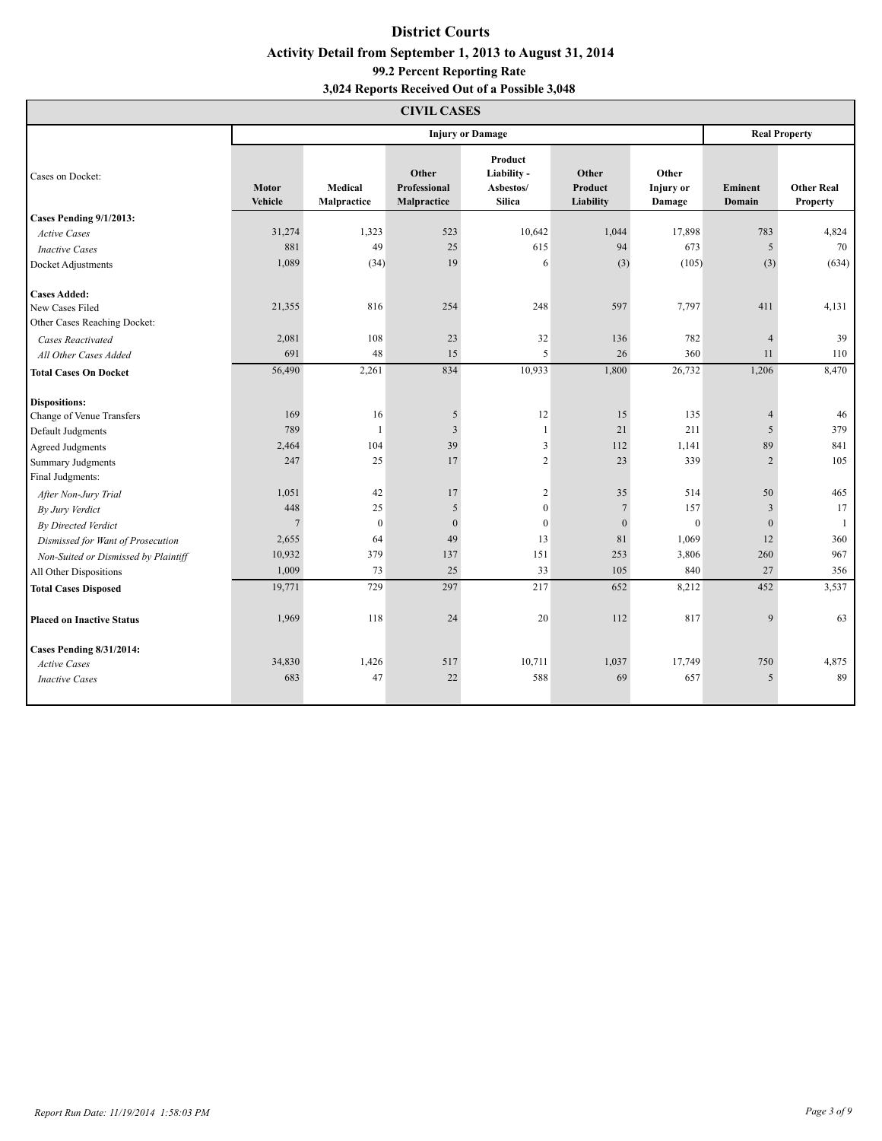|                                                                                                                                                                                                                                                                                                                                                           | <b>CIVIL CASES</b>                                                                                 |                                                                                     |                                                                                               |                                                                                                  |                                                                                      |                                                                                            |                                                                                                                        |                                                                                    |  |  |  |  |
|-----------------------------------------------------------------------------------------------------------------------------------------------------------------------------------------------------------------------------------------------------------------------------------------------------------------------------------------------------------|----------------------------------------------------------------------------------------------------|-------------------------------------------------------------------------------------|-----------------------------------------------------------------------------------------------|--------------------------------------------------------------------------------------------------|--------------------------------------------------------------------------------------|--------------------------------------------------------------------------------------------|------------------------------------------------------------------------------------------------------------------------|------------------------------------------------------------------------------------|--|--|--|--|
|                                                                                                                                                                                                                                                                                                                                                           |                                                                                                    |                                                                                     |                                                                                               | <b>Injury or Damage</b>                                                                          |                                                                                      |                                                                                            |                                                                                                                        | <b>Real Property</b>                                                               |  |  |  |  |
| Cases on Docket:                                                                                                                                                                                                                                                                                                                                          | <b>Motor</b><br><b>Vehicle</b>                                                                     | Medical<br>Malpractice                                                              | Other<br>Professional<br>Malpractice                                                          | Product<br>Liability -<br>Asbestos/<br><b>Silica</b>                                             | Other<br>Product<br>Liability                                                        | Other<br>Injury or<br>Damage                                                               | Eminent<br>Domain                                                                                                      | <b>Other Real</b><br><b>Property</b>                                               |  |  |  |  |
| Cases Pending 9/1/2013:                                                                                                                                                                                                                                                                                                                                   |                                                                                                    |                                                                                     |                                                                                               |                                                                                                  |                                                                                      |                                                                                            |                                                                                                                        |                                                                                    |  |  |  |  |
| <b>Active Cases</b>                                                                                                                                                                                                                                                                                                                                       | 31,274                                                                                             | 1,323                                                                               | 523                                                                                           | 10,642                                                                                           | 1,044                                                                                | 17,898                                                                                     | 783                                                                                                                    | 4,824                                                                              |  |  |  |  |
| <b>Inactive Cases</b>                                                                                                                                                                                                                                                                                                                                     | 881                                                                                                | 49                                                                                  | 25                                                                                            | 615                                                                                              | 94                                                                                   | 673                                                                                        | 5                                                                                                                      | 70                                                                                 |  |  |  |  |
| Docket Adjustments                                                                                                                                                                                                                                                                                                                                        | 1,089                                                                                              | (34)                                                                                | 19                                                                                            | 6                                                                                                | (3)                                                                                  | (105)                                                                                      | (3)                                                                                                                    | (634)                                                                              |  |  |  |  |
| <b>Cases Added:</b><br>New Cases Filed<br>Other Cases Reaching Docket:                                                                                                                                                                                                                                                                                    | 21,355                                                                                             | 816                                                                                 | 254                                                                                           | 248                                                                                              | 597                                                                                  | 7,797                                                                                      | 411                                                                                                                    | 4,131                                                                              |  |  |  |  |
| <b>Cases Reactivated</b>                                                                                                                                                                                                                                                                                                                                  | 2,081                                                                                              | 108                                                                                 | 23                                                                                            | 32                                                                                               | 136                                                                                  | 782                                                                                        | $\overline{4}$                                                                                                         | 39                                                                                 |  |  |  |  |
| All Other Cases Added                                                                                                                                                                                                                                                                                                                                     | 691                                                                                                | 48                                                                                  | 15                                                                                            | 5                                                                                                | 26                                                                                   | 360                                                                                        | 11                                                                                                                     | 110                                                                                |  |  |  |  |
| <b>Total Cases On Docket</b>                                                                                                                                                                                                                                                                                                                              | 56,490                                                                                             | 2,261                                                                               | 834                                                                                           | 10,933                                                                                           | 1,800                                                                                | 26,732                                                                                     | 1,206                                                                                                                  | 8,470                                                                              |  |  |  |  |
| <b>Dispositions:</b><br>Change of Venue Transfers<br>Default Judgments<br>Agreed Judgments<br><b>Summary Judgments</b><br>Final Judgments:<br>After Non-Jury Trial<br>By Jury Verdict<br><b>By Directed Verdict</b><br>Dismissed for Want of Prosecution<br>Non-Suited or Dismissed by Plaintiff<br>All Other Dispositions<br><b>Total Cases Disposed</b> | 169<br>789<br>2,464<br>247<br>1,051<br>448<br>$\overline{7}$<br>2,655<br>10,932<br>1,009<br>19,771 | 16<br>$\overline{1}$<br>104<br>25<br>42<br>25<br>$\theta$<br>64<br>379<br>73<br>729 | 5<br>$\overline{\mathbf{3}}$<br>39<br>17<br>17<br>5<br>$\mathbf{0}$<br>49<br>137<br>25<br>297 | 12<br>$\mathbf{1}$<br>3<br>$\overline{c}$<br>2<br>$\theta$<br>$\theta$<br>13<br>151<br>33<br>217 | 15<br>21<br>112<br>23<br>35<br>$\overline{7}$<br>$\Omega$<br>81<br>253<br>105<br>652 | 135<br>211<br>1,141<br>339<br>514<br>157<br>$\mathbf{0}$<br>1,069<br>3,806<br>840<br>8,212 | $\overline{4}$<br>5<br>89<br>$\overline{2}$<br>50<br>$\overline{\mathbf{3}}$<br>$\mathbf{0}$<br>12<br>260<br>27<br>452 | 46<br>379<br>841<br>105<br>465<br>17<br>$\mathbf{1}$<br>360<br>967<br>356<br>3,537 |  |  |  |  |
| <b>Placed on Inactive Status</b>                                                                                                                                                                                                                                                                                                                          | 1,969                                                                                              | 118                                                                                 | 24                                                                                            | 20                                                                                               | 112                                                                                  | 817                                                                                        | 9                                                                                                                      | 63                                                                                 |  |  |  |  |
| <b>Cases Pending 8/31/2014:</b><br><b>Active Cases</b><br><b>Inactive Cases</b>                                                                                                                                                                                                                                                                           | 34,830<br>683                                                                                      | 1,426<br>47                                                                         | 517<br>22                                                                                     | 10,711<br>588                                                                                    | 1,037<br>69                                                                          | 17,749<br>657                                                                              | 750<br>5                                                                                                               | 4,875<br>89                                                                        |  |  |  |  |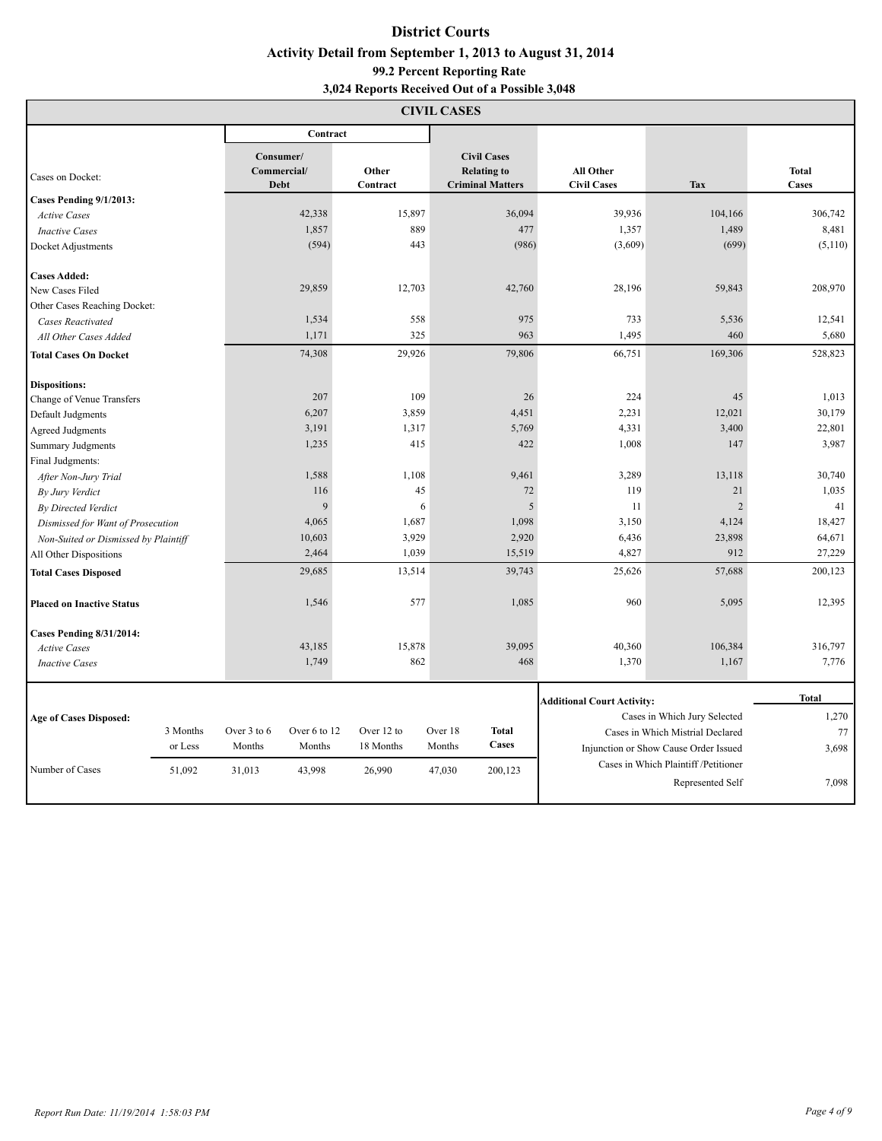|                                                                                 | <b>CIVIL CASES</b>  |                                         |                        |                         |                   |                                                                     |                                        |                                                                                                           |                              |  |  |  |  |
|---------------------------------------------------------------------------------|---------------------|-----------------------------------------|------------------------|-------------------------|-------------------|---------------------------------------------------------------------|----------------------------------------|-----------------------------------------------------------------------------------------------------------|------------------------------|--|--|--|--|
|                                                                                 |                     |                                         | Contract               |                         |                   |                                                                     |                                        |                                                                                                           |                              |  |  |  |  |
| Cases on Docket:                                                                |                     | Consumer/<br>Commercial/<br><b>Debt</b> |                        | Other<br>Contract       |                   | <b>Civil Cases</b><br><b>Relating to</b><br><b>Criminal Matters</b> | <b>All Other</b><br><b>Civil Cases</b> | <b>Tax</b>                                                                                                | <b>Total</b><br><b>Cases</b> |  |  |  |  |
| Cases Pending 9/1/2013:                                                         |                     |                                         |                        |                         |                   |                                                                     |                                        |                                                                                                           |                              |  |  |  |  |
| <b>Active Cases</b>                                                             |                     |                                         | 42,338                 | 15,897                  |                   | 36,094                                                              | 39,936                                 | 104,166                                                                                                   | 306,742                      |  |  |  |  |
| <b>Inactive Cases</b>                                                           |                     |                                         | 1,857                  | 889                     |                   | 477                                                                 | 1,357                                  | 1,489                                                                                                     | 8,481                        |  |  |  |  |
| Docket Adjustments                                                              |                     |                                         | (594)                  | 443                     |                   | (986)                                                               | (3,609)                                | (699)                                                                                                     | (5,110)                      |  |  |  |  |
| <b>Cases Added:</b><br>New Cases Filed                                          |                     |                                         | 29,859                 | 12,703                  |                   | 42,760                                                              | 28,196                                 | 59,843                                                                                                    | 208,970                      |  |  |  |  |
| Other Cases Reaching Docket:<br><b>Cases Reactivated</b>                        |                     |                                         | 1,534                  | 558                     |                   | 975                                                                 | 733                                    | 5,536                                                                                                     | 12,541                       |  |  |  |  |
| All Other Cases Added                                                           |                     |                                         | 1,171                  | 325                     |                   | 963                                                                 | 1,495                                  | 460                                                                                                       | 5,680                        |  |  |  |  |
| <b>Total Cases On Docket</b>                                                    |                     |                                         | 74,308                 | 29,926                  |                   | 79,806                                                              | 66,751                                 | 169,306                                                                                                   | 528,823                      |  |  |  |  |
|                                                                                 |                     |                                         |                        |                         |                   |                                                                     |                                        |                                                                                                           |                              |  |  |  |  |
| <b>Dispositions:</b><br>Change of Venue Transfers                               |                     |                                         | 207                    | 109                     |                   | 26                                                                  | 224                                    | 45                                                                                                        | 1,013                        |  |  |  |  |
| Default Judgments                                                               |                     |                                         | 6,207                  | 3,859                   |                   | 4,451                                                               | 2,231                                  | 12,021                                                                                                    | 30,179                       |  |  |  |  |
| <b>Agreed Judgments</b>                                                         |                     |                                         | 3,191                  | 1,317                   |                   | 5,769                                                               | 4,331                                  | 3,400                                                                                                     | 22,801                       |  |  |  |  |
| <b>Summary Judgments</b>                                                        |                     |                                         | 1,235                  | 415                     |                   | 422                                                                 | 1,008                                  | 147                                                                                                       | 3,987                        |  |  |  |  |
| Final Judgments:                                                                |                     |                                         |                        |                         |                   |                                                                     |                                        |                                                                                                           |                              |  |  |  |  |
| After Non-Jury Trial                                                            |                     |                                         | 1,588                  | 1,108                   |                   | 9,461                                                               | 3,289                                  | 13,118                                                                                                    | 30,740                       |  |  |  |  |
| By Jury Verdict                                                                 |                     |                                         | 116                    |                         | 45                | 72                                                                  | 119                                    | 21                                                                                                        | 1,035                        |  |  |  |  |
| By Directed Verdict                                                             |                     |                                         | 9                      |                         | 6                 | $\sqrt{5}$                                                          | 11                                     | $\overline{2}$                                                                                            | 41                           |  |  |  |  |
| Dismissed for Want of Prosecution                                               |                     | 4,065                                   |                        | 1,687                   |                   | 1,098                                                               | 3,150                                  | 4,124                                                                                                     | 18,427                       |  |  |  |  |
| Non-Suited or Dismissed by Plaintiff                                            |                     |                                         | 10,603                 | 3,929                   |                   | 2,920                                                               | 6,436                                  | 23,898                                                                                                    | 64,671                       |  |  |  |  |
| All Other Dispositions                                                          |                     |                                         | 2,464                  | 1,039                   |                   | 15,519                                                              | 4,827                                  | 912                                                                                                       | 27,229                       |  |  |  |  |
| <b>Total Cases Disposed</b>                                                     |                     |                                         | 29,685                 | 13,514                  |                   | 39,743                                                              | 25,626                                 | 57,688                                                                                                    | 200,123                      |  |  |  |  |
| <b>Placed on Inactive Status</b>                                                |                     |                                         | 1,546                  | 577                     |                   | 1,085                                                               | 960                                    | 5,095                                                                                                     | 12,395                       |  |  |  |  |
| <b>Cases Pending 8/31/2014:</b><br><b>Active Cases</b><br><b>Inactive Cases</b> |                     |                                         | 43,185<br>1,749        | 15,878<br>862           |                   | 39,095<br>468                                                       | 40,360<br>1,370                        | 106,384<br>1,167                                                                                          | 316,797<br>7,776             |  |  |  |  |
|                                                                                 |                     |                                         |                        |                         |                   |                                                                     | <b>Additional Court Activity:</b>      |                                                                                                           | <b>Total</b>                 |  |  |  |  |
| <b>Age of Cases Disposed:</b>                                                   | 3 Months<br>or Less | Over 3 to 6<br>Months                   | Over 6 to 12<br>Months | Over 12 to<br>18 Months | Over 18<br>Months | <b>Total</b><br><b>Cases</b>                                        |                                        | Cases in Which Jury Selected<br>Cases in Which Mistrial Declared<br>Injunction or Show Cause Order Issued | 1,270<br>77<br>3,698         |  |  |  |  |
| Number of Cases                                                                 | 51,092              | 31,013                                  | 43,998                 | 26,990                  | 47,030            | 200,123                                                             | Cases in Which Plaintiff / Petitioner  | 7,098                                                                                                     |                              |  |  |  |  |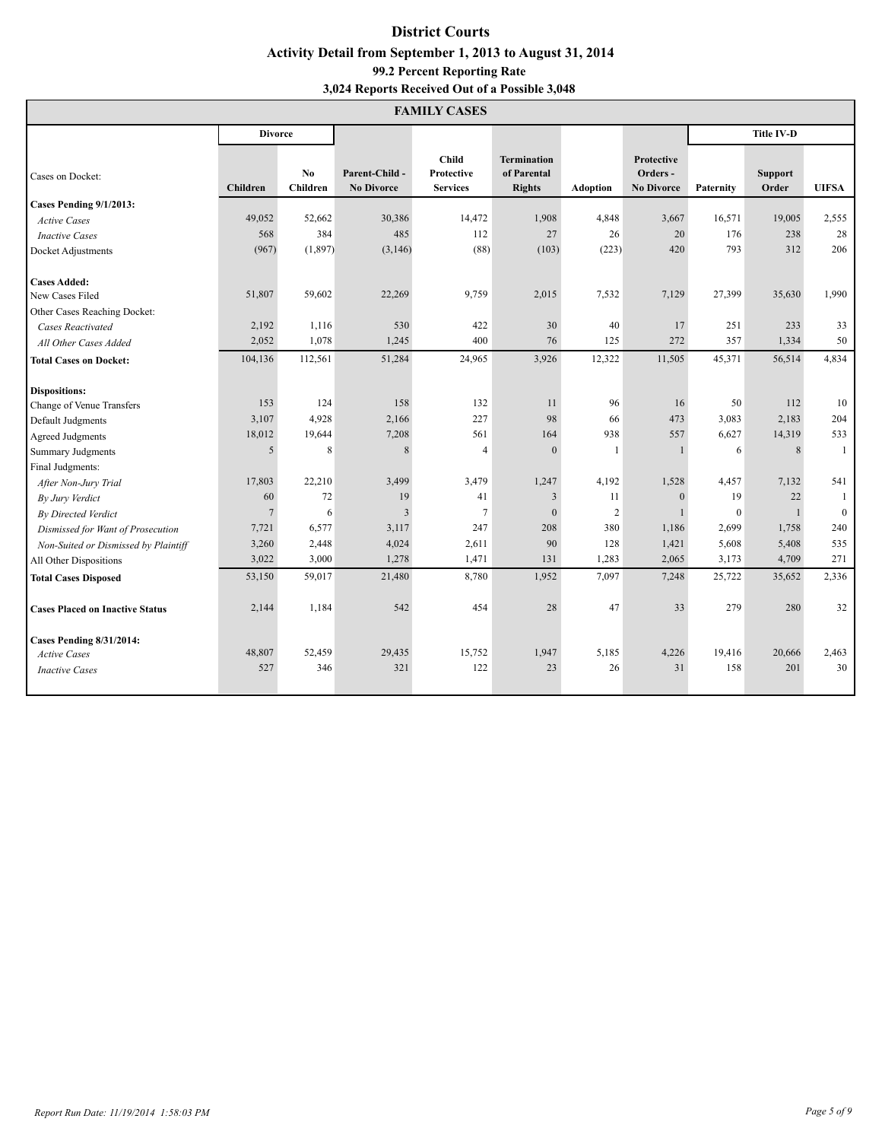| <b>FAMILY CASES</b>                                                       |                 |                        |                                     |                                               |                                                    |                 |                                                    |              |                         |              |  |  |
|---------------------------------------------------------------------------|-----------------|------------------------|-------------------------------------|-----------------------------------------------|----------------------------------------------------|-----------------|----------------------------------------------------|--------------|-------------------------|--------------|--|--|
|                                                                           | <b>Divorce</b>  |                        |                                     |                                               |                                                    |                 |                                                    |              | <b>Title IV-D</b>       |              |  |  |
| Cases on Docket:                                                          | <b>Children</b> | No.<br><b>Children</b> | Parent-Child -<br><b>No Divorce</b> | <b>Child</b><br>Protective<br><b>Services</b> | <b>Termination</b><br>of Parental<br><b>Rights</b> | <b>Adoption</b> | <b>Protective</b><br>Orders -<br><b>No Divorce</b> | Paternity    | <b>Support</b><br>Order | <b>UIFSA</b> |  |  |
| Cases Pending 9/1/2013:                                                   |                 |                        |                                     |                                               |                                                    |                 |                                                    |              |                         |              |  |  |
| <b>Active Cases</b>                                                       | 49,052          | 52,662                 | 30,386                              | 14,472                                        | 1,908                                              | 4,848           | 3,667                                              | 16,571       | 19,005                  | 2,555        |  |  |
| <b>Inactive Cases</b>                                                     | 568             | 384                    | 485                                 | 112                                           | 27                                                 | 26              | 20                                                 | 176          | 238                     | 28           |  |  |
| Docket Adjustments                                                        | (967)           | (1, 897)               | (3,146)                             | (88)                                          | (103)                                              | (223)           | 420                                                | 793          | 312                     | 206          |  |  |
| <b>Cases Added:</b>                                                       |                 |                        |                                     |                                               |                                                    |                 |                                                    |              |                         |              |  |  |
| New Cases Filed                                                           | 51,807          | 59,602                 | 22,269                              | 9,759                                         | 2,015                                              | 7,532           | 7,129                                              | 27,399       | 35,630                  | 1,990        |  |  |
| Other Cases Reaching Docket:                                              |                 |                        |                                     |                                               |                                                    |                 |                                                    |              |                         |              |  |  |
| <b>Cases Reactivated</b>                                                  | 2,192           | 1,116                  | 530                                 | 422                                           | 30                                                 | 40              | 17                                                 | 251          | 233                     | 33           |  |  |
| All Other Cases Added                                                     | 2,052           | 1,078                  | 1,245                               | 400                                           | 76                                                 | 125             | 272                                                | 357          | 1,334                   | 50           |  |  |
| <b>Total Cases on Docket:</b>                                             | 104,136         | 112,561                | 51,284                              | 24,965                                        | 3,926                                              | 12,322          | 11,505                                             | 45,371       | 56,514                  | 4,834        |  |  |
| <b>Dispositions:</b>                                                      |                 |                        |                                     |                                               |                                                    |                 |                                                    |              |                         |              |  |  |
| Change of Venue Transfers                                                 | 153             | 124                    | 158                                 | 132                                           | 11                                                 | 96              | 16                                                 | 50           | 112                     | 10           |  |  |
| Default Judgments                                                         | 3,107           | 4,928                  | 2,166                               | 227                                           | 98                                                 | 66              | 473                                                | 3,083        | 2,183                   | 204          |  |  |
| Agreed Judgments                                                          | 18,012          | 19,644                 | 7,208                               | 561                                           | 164                                                | 938             | 557                                                | 6,627        | 14,319                  | 533          |  |  |
| Summary Judgments                                                         | 5               | 8                      | $\,$ 8 $\,$                         | $\overline{4}$                                | $\overline{0}$                                     | 1               | 1                                                  | 6            | 8                       | $\mathbf{1}$ |  |  |
| Final Judgments:                                                          | 17,803          | 22,210                 | 3,499                               | 3,479                                         | 1,247                                              | 4,192           | 1,528                                              | 4,457        | 7,132                   | 541          |  |  |
| After Non-Jury Trial                                                      | 60              | 72                     | 19                                  | 41                                            | $\overline{3}$                                     | 11              | $\Omega$                                           | 19           | 22                      | $\mathbf{1}$ |  |  |
| By Jury Verdict                                                           | $\overline{7}$  | 6                      | $\overline{3}$                      | $\overline{7}$                                | $\Omega$                                           | $\overline{2}$  |                                                    | $\mathbf{0}$ | $\overline{1}$          | $\mathbf{0}$ |  |  |
| By Directed Verdict                                                       | 7,721           | 6,577                  | 3,117                               | 247                                           | 208                                                | 380             | 1,186                                              | 2,699        | 1,758                   | 240          |  |  |
| Dismissed for Want of Prosecution<br>Non-Suited or Dismissed by Plaintiff | 3,260           | 2,448                  | 4,024                               | 2,611                                         | 90                                                 | 128             | 1,421                                              | 5,608        | 5,408                   | 535          |  |  |
| All Other Dispositions                                                    | 3,022           | 3,000                  | 1,278                               | 1,471                                         | 131                                                | 1,283           | 2,065                                              | 3,173        | 4,709                   | 271          |  |  |
| <b>Total Cases Disposed</b>                                               | 53,150          | 59,017                 | 21,480                              | 8,780                                         | 1,952                                              | 7,097           | 7,248                                              | 25,722       | 35,652                  | 2,336        |  |  |
| <b>Cases Placed on Inactive Status</b>                                    | 2,144           | 1,184                  | 542                                 | 454                                           | 28                                                 | 47              | 33                                                 | 279          | 280                     | 32           |  |  |
| <b>Cases Pending 8/31/2014:</b>                                           |                 |                        |                                     |                                               |                                                    |                 |                                                    |              |                         |              |  |  |
| <b>Active Cases</b>                                                       | 48,807          | 52,459                 | 29,435                              | 15,752                                        | 1,947                                              | 5,185           | 4,226                                              | 19,416       | 20,666                  | 2,463        |  |  |
| <b>Inactive Cases</b>                                                     | 527             | 346                    | 321                                 | 122                                           | 23                                                 | 26              | 31                                                 | 158          | 201                     | 30           |  |  |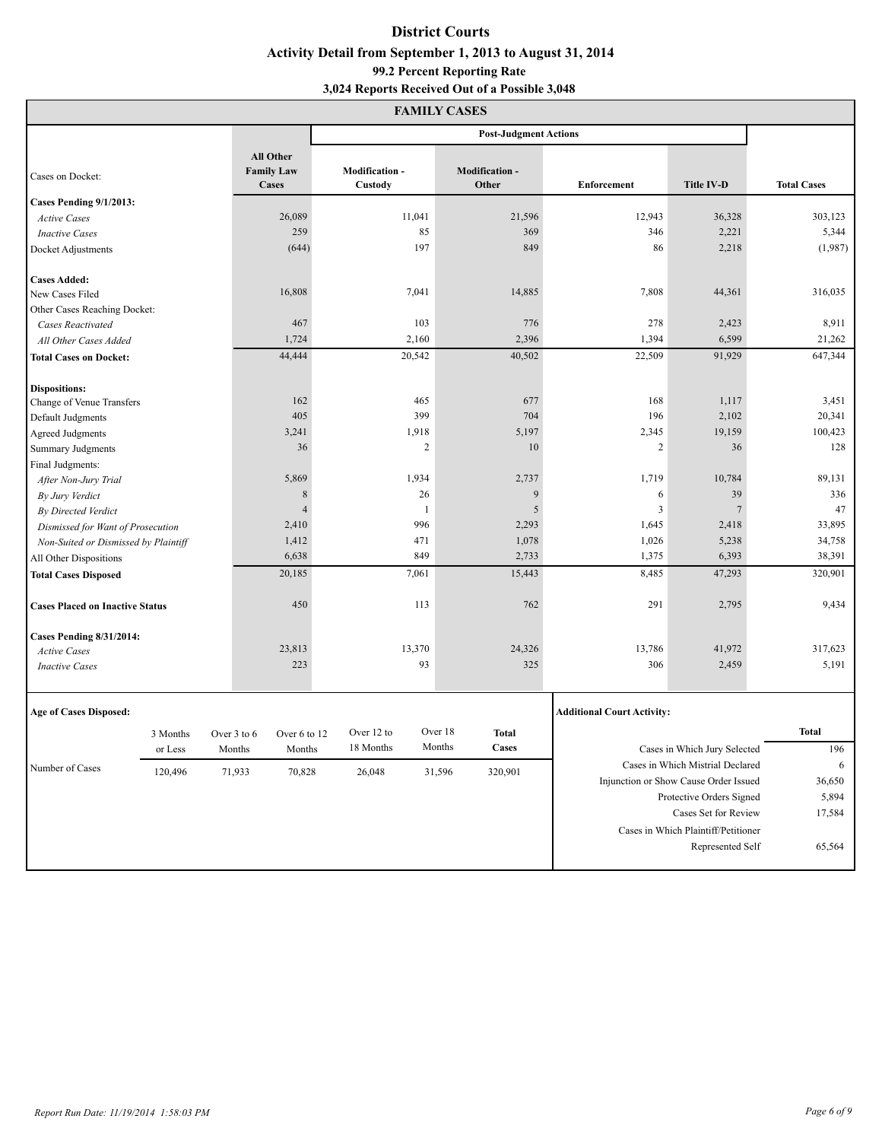| FAMILY CASES                           |          |                                                       |                |                                  |                |                               |                                   |                                       |                    |  |  |  |  |
|----------------------------------------|----------|-------------------------------------------------------|----------------|----------------------------------|----------------|-------------------------------|-----------------------------------|---------------------------------------|--------------------|--|--|--|--|
|                                        |          |                                                       |                |                                  |                | <b>Post-Judgment Actions</b>  |                                   |                                       |                    |  |  |  |  |
| Cases on Docket:                       |          | <b>All Other</b><br><b>Family Law</b><br><b>Cases</b> |                | <b>Modification -</b><br>Custody |                | <b>Modification-</b><br>Other | Enforcement                       | <b>Title IV-D</b>                     | <b>Total Cases</b> |  |  |  |  |
| Cases Pending 9/1/2013:                |          |                                                       |                |                                  |                |                               |                                   |                                       |                    |  |  |  |  |
| <b>Active Cases</b>                    |          |                                                       | 26,089         |                                  | 11,041         | 21,596                        | 12,943                            | 36,328                                | 303,123            |  |  |  |  |
| <b>Inactive Cases</b>                  |          |                                                       | 259            |                                  | 85             | 369                           | 346                               | 2,221                                 | 5,344              |  |  |  |  |
| Docket Adjustments                     |          |                                                       | (644)          |                                  | 197            | 849                           | 86                                | 2,218                                 | (1,987)            |  |  |  |  |
| <b>Cases Added:</b>                    |          |                                                       |                |                                  |                |                               |                                   |                                       |                    |  |  |  |  |
| New Cases Filed                        |          |                                                       | 16,808         |                                  | 7,041          | 14,885                        | 7,808                             | 44,361                                | 316,035            |  |  |  |  |
| Other Cases Reaching Docket:           |          |                                                       |                |                                  |                |                               |                                   |                                       |                    |  |  |  |  |
| <b>Cases Reactivated</b>               |          |                                                       | 467            |                                  | 103            | 776                           | 278                               | 2,423                                 | 8,911              |  |  |  |  |
| All Other Cases Added                  |          |                                                       | 1,724          |                                  | 2,160          | 2,396                         | 1,394                             | 6,599                                 | 21,262             |  |  |  |  |
| <b>Total Cases on Docket:</b>          |          |                                                       | 44,444         |                                  | 20,542         | 40,502                        | 22,509                            | 91,929                                | 647,344            |  |  |  |  |
| <b>Dispositions:</b>                   |          |                                                       |                |                                  |                |                               |                                   |                                       |                    |  |  |  |  |
| Change of Venue Transfers              |          |                                                       | 162            |                                  | 465            | 677                           | 168                               | 1,117                                 | 3,451              |  |  |  |  |
| Default Judgments                      |          |                                                       | 405            |                                  | 399            | 704                           | 196                               | 2,102                                 | 20,341             |  |  |  |  |
| <b>Agreed Judgments</b>                |          |                                                       | 3,241          |                                  | 1,918          | 5,197                         | 2,345                             | 19,159                                | 100,423            |  |  |  |  |
| Summary Judgments                      |          |                                                       | 36             |                                  | $\overline{2}$ | 10                            | $\sqrt{2}$                        | 36                                    | 128                |  |  |  |  |
| Final Judgments:                       |          |                                                       |                |                                  |                |                               |                                   |                                       |                    |  |  |  |  |
| After Non-Jury Trial                   |          |                                                       | 5,869          |                                  | 1,934          | 2,737                         | 1,719                             | 10,784                                | 89,131             |  |  |  |  |
| By Jury Verdict                        |          |                                                       | $\,$ 8 $\,$    |                                  | 26             | 9                             | 6                                 | 39                                    | 336                |  |  |  |  |
| By Directed Verdict                    |          |                                                       | $\overline{4}$ |                                  | $\mathbf{1}$   | 5                             | $\overline{3}$                    | $\overline{7}$                        | 47                 |  |  |  |  |
| Dismissed for Want of Prosecution      |          |                                                       | 2,410          |                                  | 996            | 2,293                         | 1,645                             | 2,418                                 | 33,895             |  |  |  |  |
| Non-Suited or Dismissed by Plaintiff   |          |                                                       | 1,412          |                                  | 471            | 1,078                         | 1,026                             | 5,238                                 | 34,758             |  |  |  |  |
| All Other Dispositions                 |          |                                                       | 6,638          |                                  | 849            | 2,733                         | 1,375                             | 6,393                                 | 38,391             |  |  |  |  |
| <b>Total Cases Disposed</b>            |          |                                                       | 20,185         |                                  | 7,061          | 15,443                        | 8,485                             | 47,293                                | 320,901            |  |  |  |  |
| <b>Cases Placed on Inactive Status</b> |          |                                                       | 450            |                                  | 113            | 762                           | 291                               | 2,795                                 | 9,434              |  |  |  |  |
| <b>Cases Pending 8/31/2014:</b>        |          |                                                       |                |                                  |                |                               |                                   |                                       |                    |  |  |  |  |
| <b>Active Cases</b>                    |          |                                                       | 23,813         |                                  | 13,370         | 24,326                        | 13,786                            | 41,972                                | 317,623            |  |  |  |  |
| <b>Inactive Cases</b>                  |          |                                                       | 223            |                                  | 93             | 325                           | 306                               | 2,459                                 | 5,191              |  |  |  |  |
| <b>Age of Cases Disposed:</b>          |          |                                                       |                |                                  |                |                               | <b>Additional Court Activity:</b> |                                       |                    |  |  |  |  |
|                                        | 3 Months | Over 3 to 6                                           | Over 6 to 12   | Over 12 to                       |                | Over 18<br><b>Total</b>       |                                   |                                       | <b>Total</b>       |  |  |  |  |
|                                        | or Less  | Months                                                | Months         | 18 Months                        |                | Months<br>Cases               |                                   | Cases in Which Jury Selected          | 196                |  |  |  |  |
| Number of Cases                        | 120,496  | 71,933                                                | 70,828         | 26,048                           |                | 31,596<br>320,901             |                                   | Cases in Which Mistrial Declared      | 6                  |  |  |  |  |
|                                        |          |                                                       |                |                                  |                |                               |                                   | Injunction or Show Cause Order Issued | 36,650             |  |  |  |  |
|                                        |          |                                                       |                |                                  |                |                               |                                   | Protective Orders Signed              | 5,894              |  |  |  |  |
|                                        |          |                                                       |                |                                  |                |                               |                                   | Cases Set for Review                  | 17,584             |  |  |  |  |
|                                        |          |                                                       |                |                                  |                |                               |                                   | Cases in Which Plaintiff/Petitioner   |                    |  |  |  |  |
|                                        |          |                                                       |                |                                  |                |                               |                                   | Represented Self                      | 65,564             |  |  |  |  |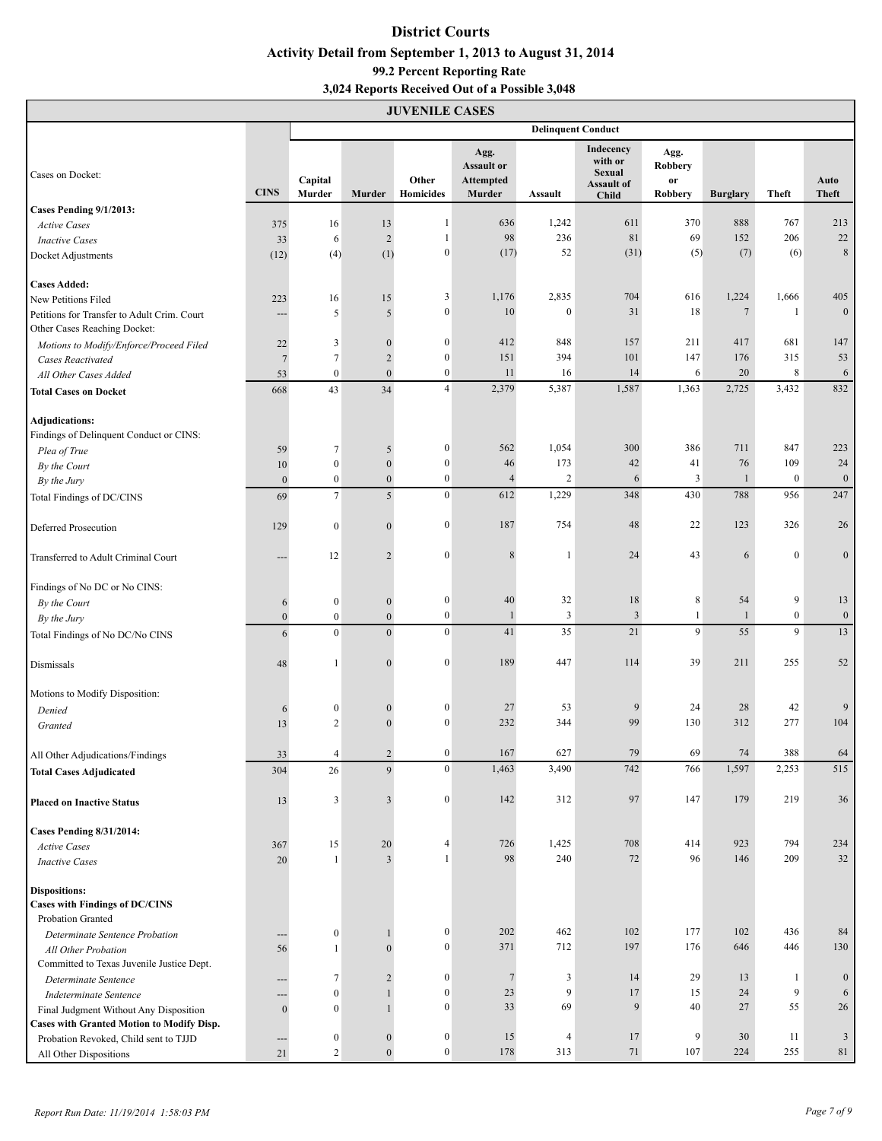# **JUVENILE CASES**

|                                                                             |                  |                   |                  | JU V ETILLE UADED  |                                                         |                  | <b>Delinquent Conduct</b>                                                  |                                         |                 |                  |                         |
|-----------------------------------------------------------------------------|------------------|-------------------|------------------|--------------------|---------------------------------------------------------|------------------|----------------------------------------------------------------------------|-----------------------------------------|-----------------|------------------|-------------------------|
| Cases on Docket:                                                            | <b>CINS</b>      | Capital<br>Murder | Murder           | Other<br>Homicides | Agg.<br><b>Assault or</b><br><b>Attempted</b><br>Murder | <b>Assault</b>   | <b>Indecency</b><br>with or<br><b>Sexual</b><br>Assault of<br><b>Child</b> | Agg.<br><b>Robbery</b><br>or<br>Robbery | <b>Burglary</b> | Theft            | Auto<br>Theft           |
| Cases Pending 9/1/2013:                                                     |                  |                   |                  |                    |                                                         |                  |                                                                            |                                         |                 |                  |                         |
| <b>Active Cases</b>                                                         | 375              | 16                | 13               | $\mathbf{1}$       | 636                                                     | 1,242            | 611                                                                        | 370                                     | 888             | 767              | 213                     |
| <b>Inactive Cases</b>                                                       | 33               | 6                 | $\overline{c}$   | $\mathbf{1}$       | 98                                                      | 236              | 81                                                                         | 69                                      | 152             | 206              | $22\,$                  |
| Docket Adjustments                                                          | (12)             | (4)               | (1)              | $\boldsymbol{0}$   | (17)                                                    | 52               | (31)                                                                       | (5)                                     | (7)             | (6)              | $\,$ 8 $\,$             |
| <b>Cases Added:</b>                                                         |                  |                   |                  |                    |                                                         |                  |                                                                            |                                         |                 |                  |                         |
| New Petitions Filed                                                         | 223              | 16                | 15               | 3                  | 1,176                                                   | 2,835            | 704                                                                        | 616                                     | 1,224           | 1,666            | 405                     |
| Petitions for Transfer to Adult Crim. Court<br>Other Cases Reaching Docket: | ---              | 5                 | 5                | $\boldsymbol{0}$   | 10                                                      | $\boldsymbol{0}$ | 31                                                                         | 18                                      | $\overline{7}$  | $\overline{1}$   | $\boldsymbol{0}$        |
| Motions to Modify/Enforce/Proceed Filed                                     | 22               | 3                 | $\mathbf{0}$     | $\boldsymbol{0}$   | 412                                                     | 848              | 157                                                                        | 211                                     | 417             | 681              | 147                     |
| <b>Cases Reactivated</b>                                                    | $\overline{7}$   | $\tau$            | $\overline{c}$   | $\boldsymbol{0}$   | 151                                                     | 394              | 101                                                                        | 147                                     | 176             | 315              | 53                      |
| All Other Cases Added                                                       | 53               | $\boldsymbol{0}$  | $\mathbf{0}$     | $\boldsymbol{0}$   | 11                                                      | 16               | 14                                                                         | 6                                       | 20              | $\,8\,$          | 6                       |
| <b>Total Cases on Docket</b>                                                | 668              | 43                | 34               | $\overline{4}$     | 2,379                                                   | 5,387            | 1,587                                                                      | 1,363                                   | 2,725           | 3,432            | 832                     |
| <b>Adjudications:</b><br>Findings of Delinquent Conduct or CINS:            |                  |                   |                  |                    |                                                         |                  |                                                                            |                                         |                 |                  |                         |
| Plea of True                                                                | 59               | $\tau$            | 5                | $\boldsymbol{0}$   | 562                                                     | 1,054            | 300                                                                        | 386                                     | 711             | 847              | 223                     |
| By the Court                                                                | 10               | $\boldsymbol{0}$  | $\mathbf{0}$     | $\boldsymbol{0}$   | 46                                                      | 173              | 42                                                                         | 41                                      | 76              | 109              | 24                      |
| By the Jury                                                                 | $\mathbf{0}$     | $\boldsymbol{0}$  | $\mathbf{0}$     | $\boldsymbol{0}$   | $\overline{4}$                                          | $\sqrt{2}$       | 6                                                                          | 3                                       | 1               | $\bf{0}$         | $\boldsymbol{0}$        |
| Total Findings of DC/CINS                                                   | 69               | 7 <sup>1</sup>    | 5                | $\boldsymbol{0}$   | 612                                                     | 1,229            | 348                                                                        | 430                                     | 788             | 956              | 247                     |
| Deferred Prosecution                                                        | 129              | $\boldsymbol{0}$  | $\boldsymbol{0}$ | $\boldsymbol{0}$   | 187                                                     | 754              | 48                                                                         | 22                                      | 123             | 326              | 26                      |
| Transferred to Adult Criminal Court                                         | ---              | 12                | $\overline{2}$   | $\boldsymbol{0}$   | 8                                                       | 1                | 24                                                                         | 43                                      | 6               | $\bf{0}$         | $\boldsymbol{0}$        |
| Findings of No DC or No CINS:                                               |                  |                   |                  |                    |                                                         |                  |                                                                            |                                         |                 |                  |                         |
| By the Court                                                                | 6                | $\boldsymbol{0}$  | $\mathbf{0}$     | $\boldsymbol{0}$   | 40                                                      | 32               | 18                                                                         | 8                                       | 54              | 9                | 13                      |
| By the Jury                                                                 | $\mathbf{0}$     | $\boldsymbol{0}$  | $\mathbf{0}$     | $\boldsymbol{0}$   |                                                         | $\mathfrak{Z}$   | $\mathfrak{Z}$                                                             | 1                                       | $\mathbf{1}$    | $\boldsymbol{0}$ | $\boldsymbol{0}$        |
| Total Findings of No DC/No CINS                                             | 6                | $\boldsymbol{0}$  | $\mathbf{0}$     | $\boldsymbol{0}$   | 41                                                      | 35               | 21                                                                         | 9                                       | 55              | 9                | 13                      |
| Dismissals                                                                  | 48               | $\mathbf{1}$      | $\boldsymbol{0}$ | $\boldsymbol{0}$   | 189                                                     | 447              | 114                                                                        | 39                                      | 211             | 255              | 52                      |
| Motions to Modify Disposition:                                              |                  |                   |                  |                    |                                                         |                  |                                                                            |                                         |                 |                  |                         |
| Denied                                                                      | 6                | $\boldsymbol{0}$  | $\mathbf{0}$     | $\boldsymbol{0}$   | 27                                                      | 53               | 9                                                                          | 24                                      | 28              | 42               | 9                       |
| Granted                                                                     | 13               | $\overline{c}$    | $\overline{0}$   | $\boldsymbol{0}$   | 232                                                     | 344              | 99                                                                         | 130                                     | 312             | 277              | 104                     |
| All Other Adjudications/Findings                                            | 33               | 4                 |                  | $\mathbf{0}$       | 167                                                     | 627              | 79                                                                         | 69                                      | 74              | 388              | 64                      |
| <b>Total Cases Adjudicated</b>                                              | 304              | 26                | 9                | $\bf{0}$           | 1,463                                                   | 3,490            | 742                                                                        | 766                                     | 1,597           | 2,253            | 515                     |
| <b>Placed on Inactive Status</b>                                            | 13               | 3                 | $\mathfrak{Z}$   | $\boldsymbol{0}$   | 142                                                     | 312              | 97                                                                         | 147                                     | 179             | 219              | 36                      |
| <b>Cases Pending 8/31/2014:</b>                                             |                  |                   |                  |                    |                                                         |                  |                                                                            |                                         |                 |                  |                         |
| <b>Active Cases</b>                                                         | 367              | 15                | 20               | 4                  | 726                                                     | 1,425            | 708                                                                        | 414                                     | 923             | 794              | 234                     |
| <b>Inactive Cases</b>                                                       | 20               | $\mathbf{1}$      | 3                | $\mathbf{1}$       | 98                                                      | 240              | 72                                                                         | 96                                      | 146             | 209              | 32                      |
| <b>Dispositions:</b><br><b>Cases with Findings of DC/CINS</b>               |                  |                   |                  |                    |                                                         |                  |                                                                            |                                         |                 |                  |                         |
| Probation Granted                                                           |                  |                   |                  |                    |                                                         |                  |                                                                            |                                         |                 |                  |                         |
| Determinate Sentence Probation                                              |                  | $\boldsymbol{0}$  | 1                | $\boldsymbol{0}$   | 202                                                     | 462              | 102                                                                        | 177                                     | 102             | 436              | 84                      |
| All Other Probation                                                         | 56               | $\mathbf{1}$      | $\boldsymbol{0}$ | $\boldsymbol{0}$   | 371                                                     | 712              | 197                                                                        | 176                                     | 646             | 446              | 130                     |
| Committed to Texas Juvenile Justice Dept.                                   |                  |                   |                  |                    |                                                         |                  |                                                                            |                                         |                 |                  |                         |
| Determinate Sentence                                                        | ---              | $\tau$            | 2                | $\boldsymbol{0}$   | $\overline{7}$                                          | 3                | 14                                                                         | 29                                      | 13              | -1               | $\theta$                |
| <b>Indeterminate Sentence</b>                                               | ---              | $\boldsymbol{0}$  | $\mathbf{1}$     | $\boldsymbol{0}$   | 23                                                      | 9                | 17                                                                         | 15                                      | 24              | 9                | 6                       |
| Final Judgment Without Any Disposition                                      | $\boldsymbol{0}$ | $\boldsymbol{0}$  | $\mathbf{1}$     | $\boldsymbol{0}$   | 33                                                      | 69               | 9                                                                          | 40                                      | 27              | 55               | 26                      |
| <b>Cases with Granted Motion to Modify Disp.</b>                            | ---              | $\boldsymbol{0}$  | $\boldsymbol{0}$ | $\boldsymbol{0}$   | 15                                                      | 4                | 17                                                                         | 9                                       | 30              | 11               | $\overline{\mathbf{3}}$ |
| Probation Revoked, Child sent to TJJD<br>All Other Dispositions             | 21               | $\overline{c}$    | $\boldsymbol{0}$ | $\boldsymbol{0}$   | 178                                                     | 313              | 71                                                                         | 107                                     | 224             | 255              | 81                      |
|                                                                             |                  |                   |                  |                    |                                                         |                  |                                                                            |                                         |                 |                  |                         |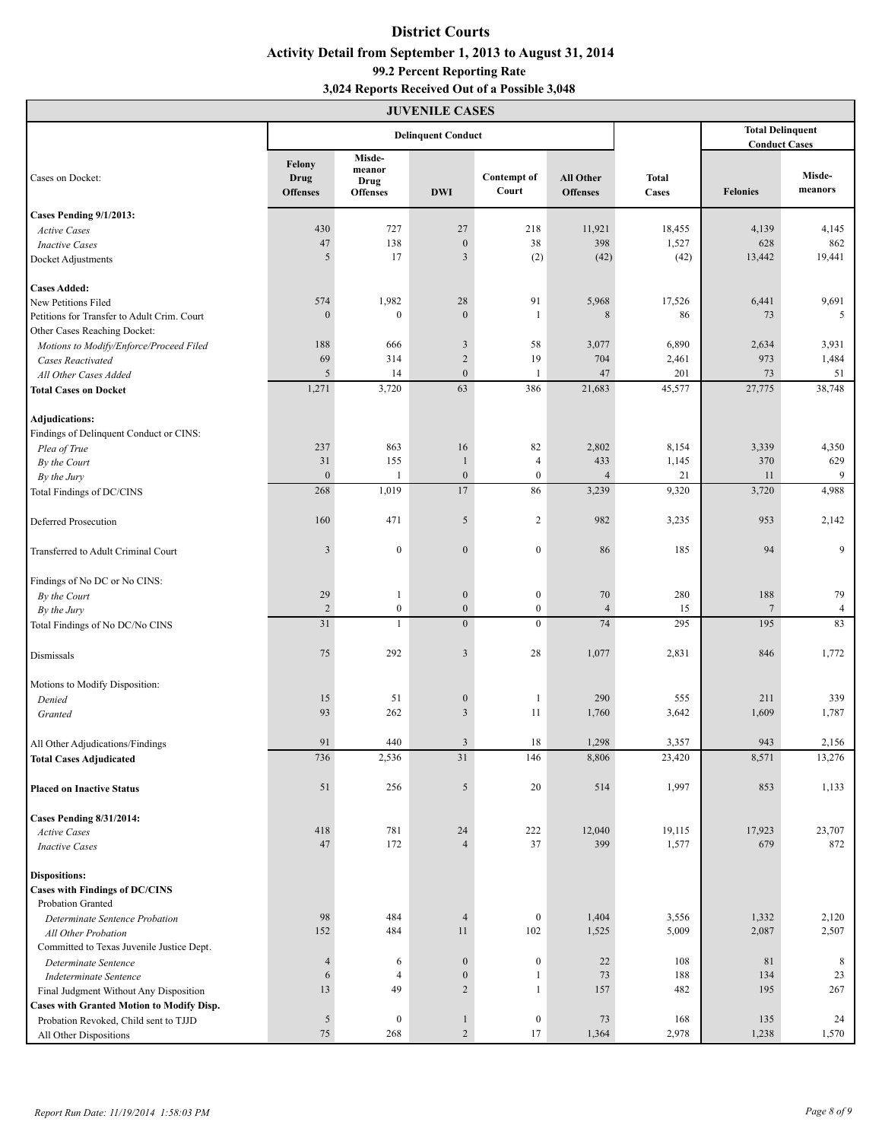|                                                            |                                   |                                             | <b>JUVENILE CASES</b>       |                             |                                     |                              |                                                 |                   |
|------------------------------------------------------------|-----------------------------------|---------------------------------------------|-----------------------------|-----------------------------|-------------------------------------|------------------------------|-------------------------------------------------|-------------------|
|                                                            |                                   |                                             | <b>Delinquent Conduct</b>   |                             |                                     |                              | <b>Total Delinquent</b><br><b>Conduct Cases</b> |                   |
| Cases on Docket:                                           | Felony<br>Drug<br><b>Offenses</b> | Misde-<br>meanor<br>Drug<br><b>Offenses</b> | <b>DWI</b>                  | <b>Contempt of</b><br>Court | <b>All Other</b><br><b>Offenses</b> | <b>Total</b><br><b>Cases</b> | <b>Felonies</b>                                 | Misde-<br>meanors |
| Cases Pending 9/1/2013:                                    |                                   |                                             |                             |                             |                                     |                              |                                                 |                   |
| <b>Active Cases</b>                                        | 430                               | 727                                         | 27                          | 218                         | 11,921                              | 18,455                       | 4,139                                           | 4,145             |
| <b>Inactive Cases</b>                                      | 47                                | 138                                         | $\boldsymbol{0}$            | 38                          | 398                                 | 1,527                        | 628                                             | 862               |
| Docket Adjustments                                         | 5                                 | 17                                          | 3                           | (2)                         | (42)                                | (42)                         | 13,442                                          | 19,441            |
| <b>Cases Added:</b>                                        |                                   |                                             |                             |                             |                                     |                              |                                                 |                   |
| New Petitions Filed                                        | 574                               | 1,982                                       | 28                          | 91                          | 5,968                               | 17,526                       | 6,441                                           | 9,691             |
| Petitions for Transfer to Adult Crim. Court                | $\boldsymbol{0}$                  | $\boldsymbol{0}$                            | $\mathbf{0}$                | $\mathbf{1}$                | $\,$ 8 $\,$                         | 86                           | 73                                              | 5                 |
| Other Cases Reaching Docket:                               |                                   |                                             |                             |                             |                                     |                              |                                                 |                   |
| Motions to Modify/Enforce/Proceed Filed                    | 188                               | 666                                         | $\ensuremath{\mathfrak{Z}}$ | 58                          | 3,077                               | 6,890                        | 2,634                                           | 3,931             |
| <b>Cases Reactivated</b>                                   | 69                                | 314                                         | $\sqrt{2}$                  | 19                          | 704                                 | 2,461                        | 973                                             | 1,484             |
| All Other Cases Added                                      | 5                                 | 14                                          | $\boldsymbol{0}$            | 1                           | 47                                  | 201                          | 73                                              | 51                |
| <b>Total Cases on Docket</b>                               | 1,271                             | 3,720                                       | 63                          | 386                         | 21,683                              | 45,577                       | 27,775                                          | 38,748            |
| Adjudications:<br>Findings of Delinquent Conduct or CINS:  |                                   |                                             |                             |                             |                                     |                              |                                                 |                   |
| Plea of True                                               | 237                               | 863                                         | 16                          | 82                          | 2,802                               | 8,154                        | 3,339                                           | 4,350             |
| By the Court                                               | 31                                | 155                                         | $\mathbf{1}$                | $\overline{4}$              | 433                                 | 1,145                        | 370                                             | 629               |
| By the Jury                                                | $\boldsymbol{0}$                  | $\mathbf{1}$                                | $\boldsymbol{0}$            | $\boldsymbol{0}$            | $\overline{4}$                      | 21                           | 11                                              | 9                 |
| Total Findings of DC/CINS                                  | 268                               | 1,019                                       | 17                          | 86                          | 3,239                               | 9,320                        | 3,720                                           | 4,988             |
| <b>Deferred Prosecution</b>                                | 160                               | 471                                         | $\mathfrak{S}$              | $\overline{c}$              | 982                                 | 3,235                        | 953                                             | 2,142             |
| Transferred to Adult Criminal Court                        | $\mathfrak{Z}$                    | $\boldsymbol{0}$                            | $\boldsymbol{0}$            | $\boldsymbol{0}$            | 86                                  | 185                          | 94                                              | 9                 |
| Findings of No DC or No CINS:<br>By the Court              | 29                                | $\mathbf{1}$                                | $\boldsymbol{0}$            | $\boldsymbol{0}$            | 70                                  | 280                          | 188                                             | 79                |
| By the Jury                                                | $\overline{c}$                    | $\boldsymbol{0}$                            | $\boldsymbol{0}$            | $\boldsymbol{0}$            | $\overline{4}$                      | 15                           | $\overline{7}$                                  | 4                 |
| Total Findings of No DC/No CINS                            | 31                                | $\mathbf{1}$                                | $\mathbf{0}$                | $\bf{0}$                    | 74                                  | 295                          | 195                                             | 83                |
| Dismissals                                                 | 75                                | 292                                         | $\mathfrak{Z}$              | 28                          | 1,077                               | 2,831                        | 846                                             | 1,772             |
| Motions to Modify Disposition:                             |                                   |                                             |                             |                             |                                     |                              |                                                 |                   |
| Denied                                                     | 15                                | 51                                          | $\boldsymbol{0}$            | $\mathbf{1}$                | 290                                 | 555                          | 211                                             | 339               |
| Granted                                                    | 93                                | 262                                         | $\mathfrak{Z}$              | 11                          | 1,760                               | 3,642                        | 1,609                                           | 1,787             |
| All Other Adjudications/Findings                           | 91                                | 440                                         | $\overline{\mathbf{3}}$     | 18                          | 1,298                               | 3,357                        | 943                                             | 2,156             |
| <b>Total Cases Adjudicated</b>                             | 736                               | 2,536                                       | 31                          | 146                         | 8,806                               | 23,420                       | 8,571                                           | 13,276            |
| <b>Placed on Inactive Status</b>                           | 51                                | 256                                         | 5                           | $20\,$                      | 514                                 | 1,997                        | 853                                             | 1,133             |
| Cases Pending 8/31/2014:                                   |                                   |                                             |                             |                             |                                     |                              |                                                 |                   |
| <b>Active Cases</b><br><b>Inactive Cases</b>               | 418<br>47                         | 781<br>172                                  | 24<br>$\overline{4}$        | 222<br>37                   | 12,040<br>399                       | 19,115<br>1,577              | 17,923<br>679                                   | 23,707<br>872     |
| <b>Dispositions:</b>                                       |                                   |                                             |                             |                             |                                     |                              |                                                 |                   |
| <b>Cases with Findings of DC/CINS</b><br>Probation Granted |                                   |                                             |                             |                             |                                     |                              |                                                 |                   |
| Determinate Sentence Probation<br>All Other Probation      | 98<br>152                         | 484<br>484                                  | $\overline{4}$<br>11        | $\mathbf{0}$<br>102         | 1,404<br>1,525                      | 3,556<br>5,009               | 1,332<br>2,087                                  | 2,120<br>2,507    |
| Committed to Texas Juvenile Justice Dept.                  |                                   |                                             |                             |                             |                                     |                              |                                                 |                   |
| Determinate Sentence                                       | $\overline{4}$                    | 6                                           | $\boldsymbol{0}$            | $\boldsymbol{0}$            | 22                                  | 108                          | 81                                              | 8                 |
| Indeterminate Sentence                                     | 6                                 | $\overline{4}$                              | $\boldsymbol{0}$            | $\mathbf{1}$                | 73                                  | 188                          | 134                                             | 23                |
| Final Judgment Without Any Disposition                     | 13                                | 49                                          | $\overline{2}$              | $\mathbf{1}$                | 157                                 | 482                          | 195                                             | 267               |
| <b>Cases with Granted Motion to Modify Disp.</b>           |                                   |                                             |                             |                             |                                     |                              |                                                 |                   |
| Probation Revoked, Child sent to TJJD                      | $\sqrt{5}$                        | $\boldsymbol{0}$                            | $\mathbf{1}$                | $\boldsymbol{0}$            | 73                                  | 168                          | 135                                             | 24                |
| All Other Dispositions                                     | 75                                | 268                                         | $\sqrt{2}$                  | 17                          | 1,364                               | 2,978                        | 1,238                                           | 1,570             |